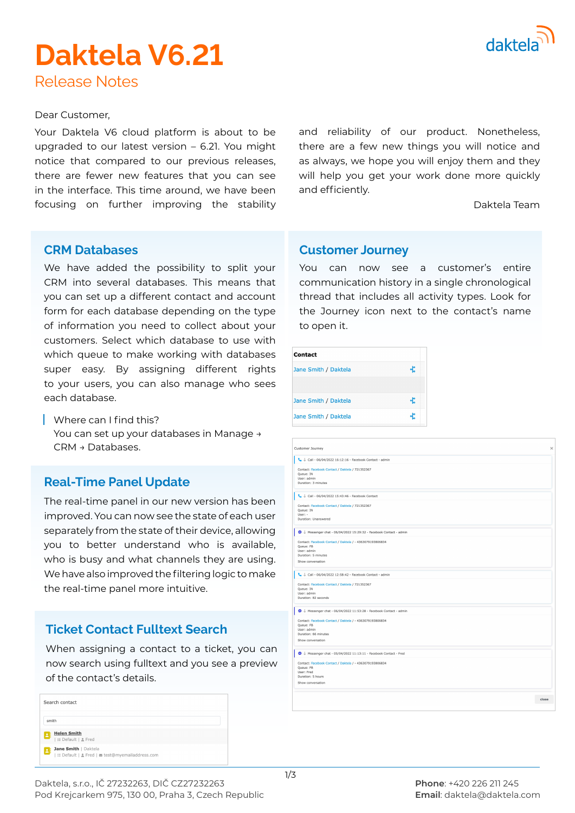

# **Daktela V6.21**

Release Notes

#### Dear Customer,

Your Daktela V6 cloud platform is about to be upgraded to our latest version – 6.21. You might notice that compared to our previous releases, there are fewer new features that you can see in the interface. This time around, we have been focusing on further improving the stability and reliability of our product. Nonetheless, there are a few new things you will notice and as always, we hope you will enjoy them and they will help you get your work done more quickly and efficiently.

Daktela Team

#### **CRM Databases**

We have added the possibility to split your CRM into several databases. This means that you can set up a different contact and account form for each database depending on the type of information you need to collect about your customers. Select which database to use with which queue to make working with databases super easy. By assigning different rights to your users, you can also manage who sees each database.

Where can I find this? You can set up your databases in Manage → CRM → Databases.

# **Real-Time Panel Update**

The real-time panel in our new version has been improved. You can now see the state of each user separately from the state of their device, allowing you to better understand who is available, who is busy and what channels they are using. We have also improved the filtering logic to make the real-time panel more intuitive.

# **Ticket Contact Fulltext Search**

When assigning a contact to a ticket, you can now search using fulltext and you see a preview of the contact's details.

| Search contact                                                                                     |
|----------------------------------------------------------------------------------------------------|
| smith                                                                                              |
| <b>Helen Smith</b><br>  := Default   <sub>2</sub> Fred                                             |
| Jane Smith   Daktela<br>$\overline{\phantom{a}}$<br>: Default   ≗ Fred   ■ test@myemailaddress.com |

#### **Customer Journey**

You can now see a customer's entire communication history in a single chronological thread that includes all activity types. Look for the Journey icon next to the contact's name to open it.

| Contact              |  |
|----------------------|--|
| Jane Smith / Daktela |  |
|                      |  |
| Jane Smith / Daktela |  |
| Jane Smith / Daktela |  |

| Customer Journey                                                                                                                  | $\times$ |
|-----------------------------------------------------------------------------------------------------------------------------------|----------|
| Call - 06/04/2022 16:12:16 - Facebook Contact - admin                                                                             |          |
| Contact: Facebook Contact / Daktela / 721352367<br>Queue: IN<br>User: admin<br>Duration: 3 minutes                                |          |
| Call - 06/04/2022 15:43:46 - Facebook Contact                                                                                     |          |
| Contact: Facebook Contact / Daktela / 721352367<br>Queue: IN<br>User: -<br>Duration: Unanswered                                   |          |
| Messenger chat - 06/04/2022 15:29:32 - Facebook Contact - admin                                                                   |          |
| Contact: Facebook Contact / Daktela / - 4363079193806834<br>Queue: FB<br>User: admin<br>Duration: 5 minutes<br>Show conversation  |          |
| Call - 06/04/2022 12:58:42 - Facebook Contact - admin                                                                             |          |
| Contact: Facebook Contact / Daktela / 721352367<br>Queue: IN<br>User: admin<br>Duration: 82 seconds                               |          |
| $\bullet \downarrow$ Messenger chat - 06/04/2022 11:53:28 - Facebook Contact - admin                                              |          |
| Contact: Facebook Contact / Daktela / - 4363079193806834<br>Queue: FB<br>User: admin<br>Duration: 66 minutes<br>Show conversation |          |
| Messenger chat - 05/04/2022 11:13:11 - Facebook Contact - Fred                                                                    |          |
| Contact: Facebook Contact / Daktela / - 4363079193806834<br>Oueue: FB<br>User: Fred<br>Duration: 5 hours<br>Show conversation     |          |
| close                                                                                                                             |          |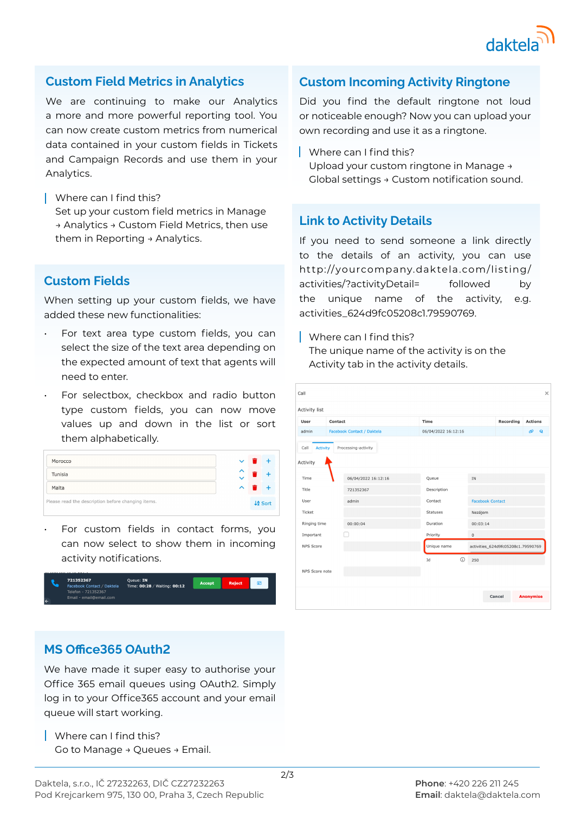

#### **Custom Field Metrics in Analytics**

We are continuing to make our Analytics a more and more powerful reporting tool. You can now create custom metrics from numerical data contained in your custom fields in Tickets and Campaign Records and use them in your Analytics.

- Where can I find this? Set up your custom field metrics in Manage → Analytics → Custom Field Metrics, then use
	- them in Reporting → Analytics.

# **Custom Fields**

When setting up your custom fields, we have added these new functionalities:

- For text area type custom fields, you can select the size of the text area depending on the expected amount of text that agents will need to enter.
- For selectbox, checkbox and radio button type custom fields, you can now move values up and down in the list or sort them alphabetically.



For custom fields in contact forms, you can now select to show them in incoming activity notifications.



### **Custom Incoming Activity Ringtone**

Did you find the default ringtone not loud or noticeable enough? Now you can upload your own recording and use it as a ringtone.

Where can I find this?

Upload your custom ringtone in Manage → Global settings → Custom notification sound.

### **Link to Activity Details**

If you need to send someone a link directly to the details of an activity, you can use http://yourcompany.daktela.com/listing/ activities/?activityDetail= followed by the unique name of the activity, e.g. activities\_624d9fc05208c1.79590769.

Where can I find this? The unique name of the activity is on the Activity tab in the activity details.

| $\times$<br>Call                               |                            |  |                     |                         |                                    |                          |  |
|------------------------------------------------|----------------------------|--|---------------------|-------------------------|------------------------------------|--------------------------|--|
| Activity list                                  |                            |  |                     |                         |                                    |                          |  |
| User                                           | Contact                    |  | Time                |                         | Recording                          | <b>Actions</b>           |  |
| admin                                          | Facebook Contact / Daktela |  | 06/04/2022 16:12:16 |                         |                                    | $\infty$<br>$\mathbf{Q}$ |  |
| Processing-activity<br><b>Activity</b><br>Call |                            |  |                     |                         |                                    |                          |  |
| Activity                                       |                            |  |                     |                         |                                    |                          |  |
| Time                                           | 06/04/2022 16:12:16        |  | Oueue               | <b>IN</b>               |                                    |                          |  |
| Title                                          | 721352367                  |  | Description         |                         |                                    |                          |  |
| User                                           | admin                      |  | Contact             | <b>Facebook Contact</b> |                                    |                          |  |
| Ticket                                         |                            |  | <b>Statuses</b>     | Nezájem                 |                                    |                          |  |
| Ringing time                                   | 00:00:04                   |  | Duration            | 00:03:14                |                                    |                          |  |
| Important                                      |                            |  | Priority            | $\mathbf 0$             |                                    |                          |  |
| NPS Score                                      |                            |  | Unique name         |                         | activities_624d9fc05208c1.79590769 |                          |  |
|                                                |                            |  | (i)<br>Id           | 250                     |                                    |                          |  |
| NPS Score note                                 |                            |  |                     |                         |                                    |                          |  |
|                                                |                            |  |                     |                         |                                    |                          |  |
|                                                |                            |  |                     |                         | Cancel                             | <b>Anonymise</b>         |  |

# **MS Office365 OAuth2**

We have made it super easy to authorise your Office 365 email queues using OAuth2. Simply log in to your Office365 account and your email queue will start working.

Where can I find this? Go to Manage → Queues → Email.